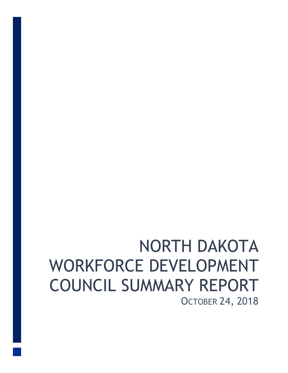# NORTH DAKOTA WORKFORCE DEVELOPMENT COUNCIL SUMMARY REPORT OCTOBER 24, 2018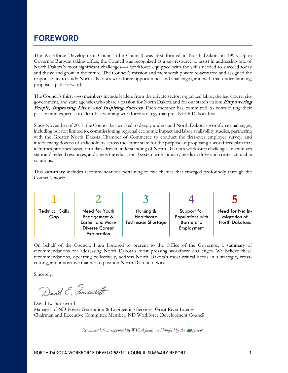### **FOREWORD**

The Workforce Development Council (the Council) was first formed in North Dakota in 1995. Upon Governor Burgum taking office, the Council was recognized as a key resource to assist in addressing one of North Dakota's most significant challenges—a workforce equipped with the skills needed to succeed today and thrive and grow in the future. The Council's mission and membership were re-activated and assigned the responsibility to study North Dakota's workforce opportunities and challenges, and with that understanding, propose a path forward.

The Council's thirty-two members include leaders from the private sector, organized labor, the legislature, city government, and state agencies who share a passion for North Dakota and for our state's vision: **Empowering People, Improving Lives, and Inspiring Success**. Each member has committed to contributing their passion and expertise to identify a winning workforce strategy that puts North Dakota first.

Since November of 2017, the Council has worked to deeply understand North Dakota's workforce challenges, including but not limited to, commissioning regional economic impact and labor availability studies, partnering with the Greater North Dakota Chamber of Commerce to conduct the first-ever employer survey, and interviewing dozens of stakeholders across the entire state for the purpose of proposing a workforce plan that identifies priorities based on a data-driven understanding of North Dakota's workforce challenges, maximizes state and federal resources, and aligns the educational system with industry needs to drive and create actionable solutions.

This **summary** includes recommendations pertaining to five themes that emerged profoundly through the Council's work:

| <b>Technical Skills</b><br>Gap | Need for Youth<br>Engagement &<br><b>Earlier and More</b><br><b>Diverse Career</b><br><b>Exploration</b> | Nursing &<br>Healthcare<br><b>Technician Shortage</b> | Support for<br>Populations with<br><b>Barriers to</b><br>Employment | Need for Net In-<br>Migration of<br><b>North Dakotans</b> |
|--------------------------------|----------------------------------------------------------------------------------------------------------|-------------------------------------------------------|---------------------------------------------------------------------|-----------------------------------------------------------|

On behalf of the Council, I am honored to present to the Office of the Governor, a summary of recommendations for addressing North Dakota's most pressing workforce challenges. We believe these recommendations, operating collectively, address North Dakota's most critical needs in a strategic, crosscutting, and innovative manner to position North Dakota to **win**.

Sincerely,

David E. Farnsworth

David E. Farnsworth Manager of ND Power Generation & Engineering Services, Great River Energy Chairman and Executive Committee Member, ND Workforce Development Council

*Recommendations supported by WIOA funds are identified by the*  $\mathcal{D}$  *symbol.*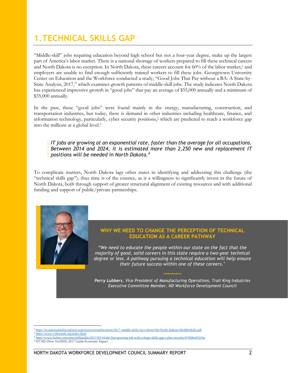## **1.TECHNICAL SKILLS GAP**

"Middle-skill" jobs requiring education beyond high school but not a four-year degree, make up the largest part of America's labor market. There is a national shortage of workers prepared to fill these technical careers and North Dakota is no exception. In North Dakota, these careers account for 60% of the labor market,<sup>1</sup> and employers are unable to find enough sufficiently trained workers to fill these jobs. Georgetown University Center on Education and the Workforce conducted a study, ["Good Jobs That Pay without a BA: A State](https://goodjobsdata.org/wp-content/uploads/Good-Jobs-States.pdf)-by-[State Analysis, 2017,](https://goodjobsdata.org/wp-content/uploads/Good-Jobs-States.pdf)" which examines growth patterns of middle-skill jobs. The study indicates North Dakota has experienced impressive growth in "good jobs" that pay an average of \$55,000 annually and a minimum of \$35,000 annually.

In the past, these "good jobs" were found mainly in the energy, manufacturing, construction, and transportation industries, but today, there is demand in other industries including healthcare, finance, and information technology, particularly, cyber security positions,<sup>2</sup> which are predicted to reach a workforce gap into the millions at a global level.<sup>3</sup>

#### *IT jobs are growing at an exponential rate, faster than the average for all occupations. Between 2014 and 2024, it is estimated more than 2,250 new and replacement IT positions will be needed in North Dakota.<sup>4</sup>*

To complicate matters, North Dakota lags other states in identifying and addressing this challenge (the "technical skills gap"), thus time is of the essence, as is a willingness to significantly invest in the future of North Dakota, both through support of greater structural alignment of existing resources and with additional funding and support of public/private partnerships.



#### **WHY WE NEED TO CHANGE THE PERCEPTION OF TECHNICAL EDUCATION AS A CAREER PATHWAY**

*"We need to educate the people within our state on the fact that the majority of good, solid careers in this state require a two-year technical degree or less. A pathway pursuing a technical education will help ensure their future success within one of these careers."*

*Perry Lubbers, Vice President of Manufacturing Operations, Trail King Industries Executive Committee Member, ND Workforce Development Council*

 $\overline{a}$ 

<sup>&</sup>lt;sup>1</sup><https://m.nationalskillscoalition.org/resources/publications/2017-middle-skills-fact-sheets/file/North-Dakota-MiddleSkills.pdf>

<sup>2</sup> <https://www.cyberseek.org/index.html>

https://www.forbes.com/sites/jeffkauflin/2017/03/16/the-fast-growing-job-with-a-huge-skills-gap-cyber-security/#7d58eef5163a

<sup>4</sup> ITCND (Now TechND) 2017 Guide-Economic Impact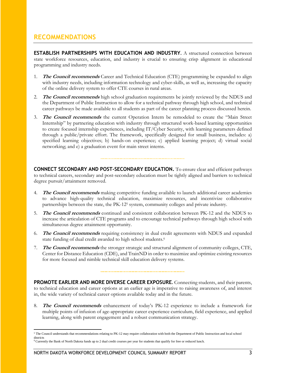### **RECOMMENDATIONS**

**ESTABLISH PARTNERSHIPS WITH EDUCATION AND INDUSTRY.** A structured connection between state workforce resources, education, and industry is crucial to ensuring crisp alignment in educational programming and industry needs.

- **The Council recommends** Career and Technical Education (CTE) programming be expanded to align with industry needs, including information technology and cyber-skills, as well as, increasing the capacity of the online delivery system to offer CTE courses in rural areas.
- 2. **The Council recommends** high school graduation requirements be jointly reviewed by the NDUS and the Department of Public Instruction to allow for a technical pathway through high school, and technical career pathways be made available to all students as part of the career planning process discussed herein.
- 3. **The Council recommends** the current Operation Intern be remodeled to create the "Main Street Internship" by partnering education with industry through structured work-based learning opportunities to create focused internship experiences, including IT/Cyber Security, with learning parameters defined through a public/private effort. The framework, specifically designed for small business, includes: a) specified learning objectives; b) hands-on experience; c) applied learning project; d) virtual social networking; and e) a graduation event for main street interns.

**CONNECT SECONDARY AND POST-SECONDARY EDUCATION.** To ensure clear and efficient pathways to technical careers, secondary and post-secondary education must be tightly aligned and barriers to technical degree pursuit/attainment removed.

- 4. **The Council recommends** making competitive funding available to launch additional career academies to advance high-quality technical education, maximize resources, and incentivize collaborative partnerships between the state, the PK-12<sup>5</sup> system, community colleges and private industry.
- 5. **The Council recommends** continued and consistent collaboration between PK-12 and the NDUS to increase the articulation of CTE programs and to encourage technical pathways through high school with simultaneous degree attainment opportunity.
- 6. **The Council recommends** requiring consistency in dual credit agreements with NDUS and expanded state funding of dual credit awarded to high school students. 6
- 7. **The Council recommends** the stronger strategic and structural alignment of community colleges, CTE, Center for Distance Education (CDE), and TrainND in order to maximize and optimize existing resources for more focused and nimble technical skill education delivery systems.

**PROMOTE EARLIER AND MORE DIVERSE CAREER EXPOSURE.** Connecting students, and their parents, to technical education and career options at an earlier age is imperative to raising awareness of, and interest in, the wide variety of technical career options available today and in the future.

8. **The Council recommends** enhancement of today's PK-12 experience to include a framework for multiple points of infusion of age-appropriate career experience curriculum, field experience, and applied learning, along with parent engagement and a robust communication strategy.

<sup>&</sup>lt;sup>5</sup> The Council understands that recommendations relating to PK-12 may require collaboration with both the Department of Public Instruction and local school districts

<sup>6</sup> Currently the Bank of North Dakota funds up to 2 dual credit courses per year for students that qualify for free or reduced lunch.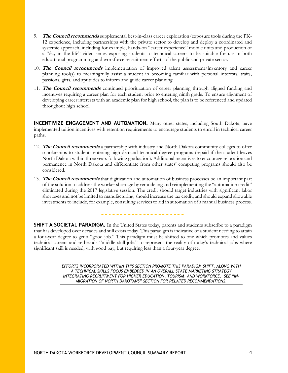- 9. **The Council recommends** supplemental best-in-class career exploration/exposure tools during the PK-12 experience, including partnerships with the private sector to develop and deploy a coordinated and systemic approach, including for example, hands-on "career experience" mobile units and production of a "day in the life" video series exposing students to technical careers to be suitable for use in both educational programming and workforce recruitment efforts of the public and private sector.
- 10. **The Council recommends** implementation of improved talent assessment/inventory and career planning tool(s) to meaningfully assist a student in becoming familiar with personal interests, traits, passions, gifts, and aptitudes to inform and guide career planning.
- 11. **The Council recommends** continued prioritization of career planning through aligned funding and incentives requiring a career plan for each student prior to entering ninth grade. To ensure alignment of developing career interests with an academic plan for high school, the plan is to be referenced and updated throughout high school.

**INCENTIVIZE ENGAGEMENT AND AUTOMATION.** Many other states, including South Dakota, have implemented tuition incentives with retention requirements to encourage students to enroll in technical career paths.

- 12. **The Council recommends** a partnership with industry and North Dakota community colleges to offer scholarships to students entering high-demand technical degree programs (repaid if the student leaves North Dakota within three years following graduation). Additional incentives to encourage relocation and permanence in North Dakota and differentiate from other states' competing programs should also be considered.
- 13. **The Council recommends** that digitization and automation of business processes be an important part of the solution to address the worker shortage by remodeling and reimplementing the "automation credit" eliminated during the 2017 legislative session. The credit should target industries with significant labor shortages and not be limited to manufacturing, should increase the tax credit, and should expand allowable investments to include, for example, consulting services to aid in automation of a manual business process.

**SHIFT A SOCIETAL PARADIGM.** In the United States today, parents and students subscribe to a paradigm that has developed over decades and still exists today. This paradigm is indicative of a student needing to attain a four-year degree to get a "good job." This paradigm must be shifted to one which promotes and values technical careers and re-brands "middle skill jobs" to represent the reality of today's technical jobs where significant skill is needed, with good pay, but requiring less than a four-year degree.

> *EFFORTS INCORPORATED WITHIN THIS SECTION PROMOTE THIS PARADIGM SHIFT, ALONG WITH A TECHNICAL SKILLS FOCUS EMBEDDED IN AN OVERALL STATE MARKETING STRATEGY INTEGRATING RECRUITMENT FOR HIGHER EDUCATION, TOURISM, AND WORKFORCE. SEE "IN-MIGRATION OF NORTH DAKOTANS" SECTION FOR RELATED RECOMMENDATIONS.*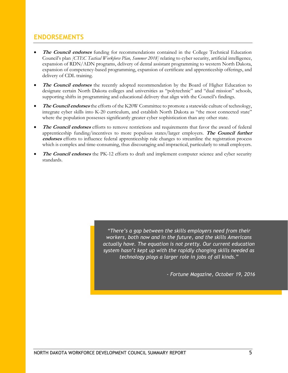#### **ENDORSEMENTS**

- **The Council endorses** funding for recommendations contained in the College Technical Education Council's plan *[CTEC Tactical Workforce Plan, Summer 2018]* relating to cyber security, artificial intelligence, expansion of RDN/ADN programs, delivery of dental assistant programming to western North Dakota, expansion of competency-based programming, expansion of certificate and apprenticeship offerings, and delivery of CDL training.
- **The Council endorses** the recently adopted recommendation by the Board of Higher Education to designate certain North Dakota colleges and universities as "polytechnic" and "dual mission" schools, supporting shifts in programming and educational delivery that align with the Council's findings.
- **The Council endorses** the efforts of the K20W Committee to promote a statewide culture of technology, integrate cyber skills into K-20 curriculum, and establish North Dakota as "the most connected state" where the population possesses significantly greater cyber sophistication than any other state.
- **The Council endorses** efforts to remove restrictions and requirements that favor the award of federal apprenticeship funding/incentives to more populous states/larger employers. **The Council further endorses** efforts to influence federal apprenticeship rule changes to streamline the registration process which is complex and time-consuming, thus discouraging and impractical, particularly to small employers.
- **The Council endorses** the PK-12 efforts to draft and implement computer science and cyber security standards.

*"There's a gap between the skills employers need from their workers, both now and in the future, and the skills Americans actually have. The equation is not pretty. Our current education system hasn't kept up with the rapidly changing skills needed as technology plays a larger role in jobs of all kinds."*

*- Fortune Magazine, October 19, 2016*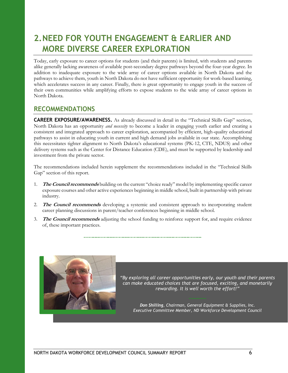## **2.NEED FOR YOUTH ENGAGEMENT & EARLIER AND MORE DIVERSE CAREER EXPLORATION**

Today, early exposure to career options for students (and their parents) is limited, with students and parents alike generally lacking awareness of available post-secondary degree pathways beyond the four-year degree. In addition to inadequate exposure to the wide array of career options available in North Dakota and the pathways to achieve them, youth in North Dakota do not have sufficient opportunity for work-based learning, which accelerates success in any career. Finally, there is great opportunity to engage youth in the success of their own communities while amplifying efforts to expose students to the wide array of career options in North Dakota.

#### **RECOMMENDATIONS**

**CAREER EXPOSURE/AWARENESS.** As already discussed in detail in the "Technical Skills Gap" section, North Dakota has an opportunity *and necessity* to become a leader in engaging youth earlier and creating a consistent and integrated approach to career exploration, accompanied by efficient, high-quality educational pathways to assist in educating youth in current and high demand jobs available in our state. Accomplishing this necessitates tighter alignment to North Dakota's educational systems (PK-12, CTE, NDUS) and other delivery systems such as the Center for Distance Education (CDE), and must be supported by leadership and investment from the private sector.

The recommendations included herein supplement the recommendations included in the "Technical Skills Gap" section of this report.

- 1. **The Council recommends** building on the current "choice ready" model by implementing specific career exposure courses and other active experiences beginning in middle school, built in partnership with private industry.
- 2. **The Council recommends** developing a systemic and consistent approach to incorporating student career planning discussions in parent/teacher conferences beginning in middle school.
- 3. **The Council recommends** adjusting the school funding to reinforce support for, and require evidence of, these important practices.



*"By exploring all career opportunities early, our youth and their parents can make educated choices that are focused, exciting, and monetarily rewarding. It is well worth the effort!"*

*Don Shilling, Chairman, General Equipment & Supplies, Inc. Executive Committee Member, ND Workforce Development Council*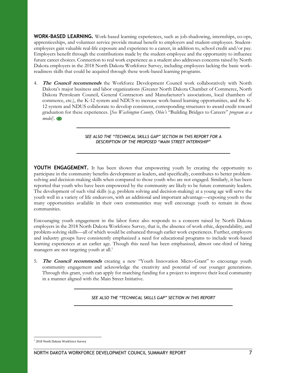**WORK-BASED LEARNING.** Work-based learning experiences, such as job-shadowing, internships, co-ops, apprenticeships, and volunteer service provide mutual benefit to employers and student-employees. Studentemployees gain valuable real-life exposure and experience to a career, in addition to, school credit and/or pay. Employers benefit through the contributions made by the student-employee and the opportunity to influence future career choices. Connection to real work experience as a student also addresses concerns raised by North Dakota employers in the 2018 North Dakota Workforce Survey, including employees lacking the basic workreadiness skills that could be acquired through these work-based learning programs.

4. The Council recommends the Workforce Development Council work collaboratively with North Dakota's major business and labor organizations (Greater North Dakota Chamber of Commerce, North Dakota Petroleum Council, General Contractors and Manufacturer's associations, local chambers of commerce, etc.), the K-12 system and NDUS to increase work-based learning opportunities, and the K-12 system and NDUS collaborate to develop consistent, corresponding structures to award credit toward graduation for these experiences. [*See Washington County, Ohio's* "[Building Bridges to Careers](http://buildingbridgestocareers.org/)" *program as a model]*.

> *SEE ALSO THE "TECHNICAL SKILLS GAP" SECTION IN THIS REPORT FOR A DESCRIPTION OF THE PROPOSED "MAIN STREET INTERNSHIP"*

**YOUTH ENGAGEMENT.** It has been shown that empowering youth by creating the opportunity to participate in the community benefits development as leaders, and specifically, contributes to better problemsolving and decision-making skills when compared to those youth who are not engaged. Similarly, it has been reported that youth who have been empowered by the community are likely to be future community leaders. The development of such vital skills (e.g. problem solving and decision-making) at a young age will serve the youth well in a variety of life endeavors, with an additional and important advantage—exposing youth to the many opportunities available in their own communities may well encourage youth to remain in those communities.

Encouraging youth engagement in the labor force also responds to a concern raised by North Dakota employers in the 2018 North Dakota Workforce Survey, that is, the absence of work ethic, dependability, and problem-solving skills—all of which would be enhanced through earlier work experiences. Further, employers and industry groups have consistently emphasized a need for educational programs to include work-based learning experiences at an earlier age. Though this need has been emphasized, almost one-third of hiring managers are not targeting youth at all. 7

5. **The Council recommends** creating a new "Youth Innovation Micro-Grant" to encourage youth community engagement and acknowledge the creativity and potential of our younger generations. Through this grant, youth can apply for matching funding for a project to improve their local community in a manner aligned with the Main Street Initiative.

*SEE ALSO THE "TECHNICAL SKILLS GAP" SECTION IN THIS REPORT*

 $\overline{a}$ 

<sup>7</sup> 2018 North Dakota Workforce Survey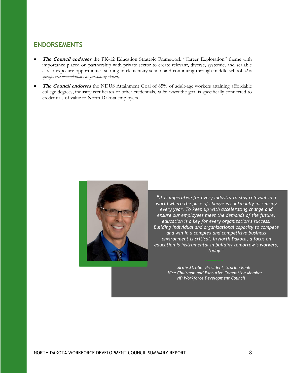### **ENDORSEMENTS**

- **The Council endorses** the PK-12 Education Strategic Framework "Career Exploration" theme with importance placed on partnership with private sector to create relevant, diverse, systemic, and scalable career exposure opportunities starting in elementary school and continuing through middle school. *[See specific recommendations as previously stated].*
- **The Council endorses** the NDUS Attainment Goal of 65% of adult-age workers attaining affordable college degrees, industry certificates or other credentials, *to the extent* the goal is specifically connected to credentials of value to North Dakota employers.



"*It is imperative for every industry to stay relevant in a world where the pace of change is continually increasing every year. To keep up with accelerating change and ensure our employees meet the demands of the future, education is a key for every organization's success. Building individual and organizational capacity to compete and win in a complex and competitive business environment is critical. In North Dakota, a focus on education is instrumental in building tomorrow's workers, today."*

> *Arnie Strebe, President, Starion Bank Vice Chairman and Executive Committee Member, ND Workforce Development Council*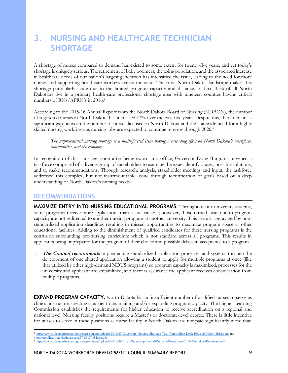### **3. NURSING AND HEALTHCARE TECHNICIAN SHORTAGE**

A shortage of nurses compared to demand has existed to some extent for twenty-five years, and yet today's shortage is uniquely serious. The retirement of baby boomers, the aging population, and the associated increase in healthcare needs of our nation's largest generation has intensified the issue, leading to the need for more nurses and supporting healthcare workers across the state. The rural North Dakota landscape makes this shortage particularly acute due to the limited program capacity and distance. In fact, 35% of all North Dakotans live in a primary health-care professional shortage area with nineteen counties having critical numbers of RNs/APRN's in 2016.<sup>8</sup>

According to the 2015-16 Annual Report from the North Dakota Board of Nursing (NDBON), the number of registered nurses in North Dakota has increased 13% over the past five years. Despite this, there remains a significant gap between the number of nurses licensed in North Dakota and the statewide need for a highly skilled nursing workforce as nursing jobs are expected to continue to grow through 2026.<sup>9</sup>

*The unprecedented nursing shortage is a multi-faceted issue having a cascading effect on North Dakota's workforce, communities, and the economy.* 

In recognition of this shortage, soon after being sworn into office, Governor Doug Burgum convened a taskforce comprised of a diverse group of stakeholders to examine the issue, identify causes, possible solutions, and to make recommendations. Through research, analysis, stakeholder meetings and input, the taskforce addressed this complex, but not insurmountable, issue through identification of goals based on a deep understanding of North Dakota's nursing needs.

#### **RECOMMENDATIONS**

**MAXIMIZE ENTRY INTO NURSING EDUCATIONAL PROGRAMS.** Throughout our university systems, some programs receive more applications than seats available; however, those turned away due to program capacity are not redirected to another nursing program at another university. This issue is aggravated by nonstandardized application deadlines resulting in missed opportunities to maximize program space at other educational facilities. Adding to the diminishment of qualified candidates for these nursing programs is the confusion surrounding pre-nursing curriculum which is not standard across all programs. This results in applicants being unprepared for the program of their choice and possible delays in acceptance to a program.

**The Council recommends** implementing standardized application processes and systems through the development of one shared application allowing a student to apply for multiple programs at once (like that utilized by other high-demand NDUS programs) so program capacity is maximized, processes for the university and applicant are streamlined, and there is assurance the applicant receives consideration from multiple programs.

**EXPAND PROGRAM CAPACITY.** North Dakota has an insufficient number of qualified nurses to serve as clinical instructors creating a barrier to maintaining and/or expanding program capacity. The Higher Learning Commission establishes the requirements for higher education to receive accreditation on a regional and national level. Nursing faculty positions require a Master's or doctorate-level degree. There is little incentive for nurses to serve in these positions as nurse faculty in North Dakota are not paid significantly more than

<sup>8</sup> <https://www.ndcenterfornursing.org/wp-content/uploads/2018/03/Governors-Nursing-Shortage-Task-Force-Slide-Deck-Revised-March-2018.pptx> and <https://ruralhealth.und.edu/assets/287-2817/nd-hpsa.pdf>

<sup>9</sup> <https://www.ndcenterfornursing.org/wp-content/uploads/2018/09/FInal-Nurse-Supply-and-Demand-Projections-2018-Technical-Document.pdf>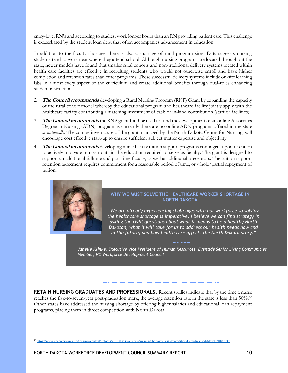entry-level RN's and according to studies, work longer hours than an RN providing patient care. This challenge is exacerbated by the student loan debt that often accompanies advancement in education.

In addition to the faculty shortage, there is also a shortage of rural program sites. Data suggests nursing students tend to work near where they attend school. Although nursing programs are located throughout the state, newer models have found that smaller rural cohorts and non-traditional delivery systems located within health care facilities are effective in recruiting students who would not otherwise enroll and have higher completion and retention rates than other programs. These successful delivery systems include on-site learning labs in almost every aspect of the curriculum and create additional benefits through dual-roles enhancing student instruction.

- 2. **The Council recommends** developing a Rural Nursing Program (RNP) Grant by expanding the capacity of the rural cohort model whereby the educational program and healthcare facility jointly apply with the healthcare facility contributing a matching investment of cash or in-kind contribution (staff or facilities).
- 3. **The Council recommends** the RNP grant fund be used to fund the development of an online Associates Degree in Nursing (ADN) program as currently there are no online ADN programs offered in the state *or nationally*. The competitive nature of the grant, managed by the North Dakota Center for Nursing, will encourage cost effective start-up to ensure sufficient subject matter expertise and objectivity.
- 4. **The Council recommends** developing nurse faculty tuition support programs contingent upon retention to actively motivate nurses to attain the education required to serve as faculty. The grant is designed to support an additional fulltime and part-time faculty, as well as additional preceptors. The tuition support retention agreement requires commitment for a reasonable period of time, or whole/partial repayment of tuition.



#### **WHY WE MUST SOLVE THE HEALTHCARE WORKER SHORTAGE IN NORTH DAKOTA**

*"We are already experiencing challenges with our workforce so solving the healthcare shortage is imperative. I believe we can find strategy in asking the right questions about what it means to be a healthy North Dakotan, what it will take for us to address our health needs now and in the future, and how health care affects the North Dakota story."*

┈

*Janelle Klinke, Executive Vice President of Human Resources, Eventide Senior Living Communities Member, ND Workforce Development Council*

**RETAIN NURSING GRADUATES AND PROFESSIONALS.** Recent studies indicate that by the time a nurse reaches the five-to-seven-year post-graduation mark, the average retention rate in the state is less than 50%.<sup>10</sup> Other states have addressed the nursing shortage by offering higher salaries and educational loan repayment programs, placing them in direct competition with North Dakota.

<sup>&</sup>lt;sup>10</sup> <https://www.ndcenterfornursing.org/wp-content/uploads/2018/03/Governors-Nursing-Shortage-Task-Force-Slide-Deck-Revised-March-2018.pptx>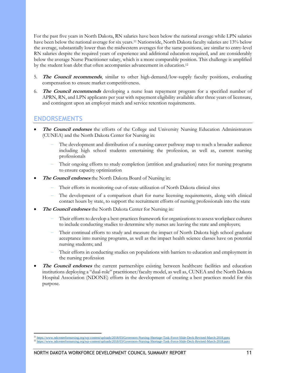For the past five years in North Dakota, RN salaries have been below the national average while LPN salaries have been below the national average for six years.<sup>11</sup> Nationwide, North Dakota faculty salaries are 13% below the average, substantially lower than the midwestern averages for the same positions, are similar to entry-level RN salaries despite the required years of experience and additional education required, and are considerably below the average Nurse Practitioner salary, which is a more comparable position. This challenge is amplified by the student loan debt that often accompanies advancement in education.<sup>12</sup>

- **The Council recommends**, similar to other high-demand/low-supply faculty positions, evaluating compensation to ensure market competitiveness.
- 6. **The Council recommends** developing a nurse loan repayment program for a specified number of APRN, RN, and LPN applicants per year with repayment eligibility available after three years of licensure, and contingent upon an employer match and service retention requirements.

#### **ENDORSEMENTS**

- **The Council endorses** the efforts of the College and University Nursing Education Administrators (CUNEA) and the North Dakota Center for Nursing in:
	- The development and distribution of a nursing career pathway map to reach a broader audience including high school students entertaining the profession, as well as, current nursing professionals
	- Their ongoing efforts to study completion (attrition and graduation) rates for nursing programs to ensure capacity optimization
- **The Council endorses** the North Dakota Board of Nursing in:
	- Their efforts in monitoring out-of-state utilization of North Dakota clinical sites
	- The development of a comparison chart for nurse licensing requirements, along with clinical contact hours by state, to support the recruitment efforts of nursing professionals into the state
- **The Council endorses** the North Dakota Center for Nursing in:
	- Their efforts to develop a best-practices framework for organizations to assess workplace cultures to include conducting studies to determine why nurses are leaving the state and employers;
	- Their continual efforts to study and measure the impact of North Dakota high school graduate acceptance into nursing programs, as well as the impact health science classes have on potential nursing students; and
	- Their efforts in conducting studies on populations with barriers to education and employment in the nursing profession
- **The Council endorses** the current partnerships existing between healthcare facilities and education institutions deploying a "dual-role" practitioner/faculty model, as well as, CUNEA and the North Dakota Hospital Association (NDONE) efforts in the development of creating a best practices model for this purpose.

<sup>11</sup> <https://www.ndcenterfornursing.org/wp-content/uploads/2018/03/Governors-Nursing-Shortage-Task-Force-Slide-Deck-Revised-March-2018.pptx> <sup>12</sup> <https://www.ndcenterfornursing.org/wp-content/uploads/2018/03/Governors-Nursing-Shortage-Task-Force-Slide-Deck-Revised-March-2018.pptx>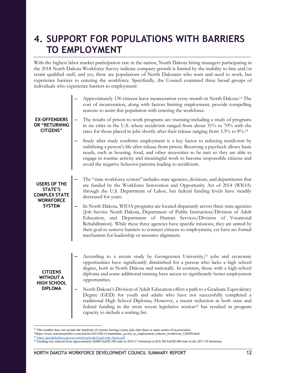## **4. SUPPORT FOR POPULATIONS WITH BARRIERS TO EMPLOYMENT**

With the highest labor market participation rate in the nation, North Dakota hiring managers participating in the 2018 North Dakota Workforce Survey indicate company growth is limited by the inability to hire and/or retain qualified staff, and yet, there are populations of North Dakotans who want and need to work, but experience barriers to entering the workforce. Specifically, the Council examined three broad groups of individuals who experience barriers to employment:

| <b>EX-OFFENDERS</b><br>OR "RETURNING<br><b>CITIZENS"</b>                                    | Approximately 130 citizens leave incarceration every month in North Dakota. <sup>13</sup> The<br>cost of incarceration, along with factors limiting employment, provide compelling<br>reasons to assist this population with entering the workforce.<br>The results of prison-to-work programs are stunning including a study of programs<br>-<br>in six cities in the U.S. where recidivism ranged from about 31% to 70% with the<br>rates for those placed in jobs shortly after their release ranging from 3.3% to 8%. <sup>14</sup> |
|---------------------------------------------------------------------------------------------|-----------------------------------------------------------------------------------------------------------------------------------------------------------------------------------------------------------------------------------------------------------------------------------------------------------------------------------------------------------------------------------------------------------------------------------------------------------------------------------------------------------------------------------------|
|                                                                                             | Study after study confirms employment is a key factor to reducing recidivism by<br>stabilizing a person's life after release from prison. Receiving a paycheck allows basic<br>needs, such as housing, food, and other necessities to be met so they are able to<br>engage in routine activity and meaningful work to become responsible citizens and<br>avoid the negative behavior patterns leading to recidivism.                                                                                                                    |
| <b>USERS OF THE</b><br>STATE'S<br><b>COMPLEX STATE</b><br><b>WORKFORCE</b><br><b>SYSTEM</b> | The "state workforce system" includes state agencies, divisions, and departments that<br>are funded by the Workforce Innovation and Opportunity Act of 2014 (WIOA)<br>through the U.S. Department of Labor, but federal funding levels have steadily<br>decreased for years.                                                                                                                                                                                                                                                            |
|                                                                                             | In North Dakota, WIOA programs are located disparately across three state agencies<br>(Job Service North Dakota, Department of Public Instruction/Division of Adult<br>Education, and Department of Human Services/Division of Vocational<br>Rehabilitation). While these three agencies have specific missions, they are united by<br>their goal to remove barriers to connect citizens to employment, yet have no formal<br>mechanism for leadership or resource alignment.                                                           |
| <b>CITIZENS</b><br><b>WITHOUT A</b><br><b>HIGH SCHOOL</b><br><b>DIPLOMA</b>                 | According to a recent study by Georgetown University, <sup>15</sup> jobs and economic<br>opportunities have significantly diminished for a person who lacks a high school<br>degree, both in North Dakota and nationally. In contrast, those with a high school<br>diploma and some additional training have access to significantly better employment<br>opportunities.                                                                                                                                                                |
|                                                                                             | North Dakota's Division of Adult Education offers a path to a Graduate Equivalency<br>-<br>Degree (GED) for youth and adults who have not successfully completed a<br>traditional High School Diploma; However, a recent reduction in both state and<br>federal funding in the most recent legislative session <sup>16</sup> has resulted in program<br>capacity to include a waiting list.                                                                                                                                             |

<sup>&</sup>lt;sup>13</sup> This number does not include the hundreds of citizens leaving county jails after three or more weeks of incarceration

 $\overline{a}$ 

<sup>14</sup>https://www.realclearpolitics.com/articles/2015/06/11/immediate\_access\_to\_employment\_reduces\_recidivism\_126939.html

<sup>15</sup> <https://goodjobsdata.org/wp-content/uploads/Good-Jobs-States.pdf> <sup>16</sup> Funding was reduced from approximately \$20M Fed/\$5.5M state in 2015-17 biennium to \$10.3M Fed/\$2.8M state in the 2017-19 biennium.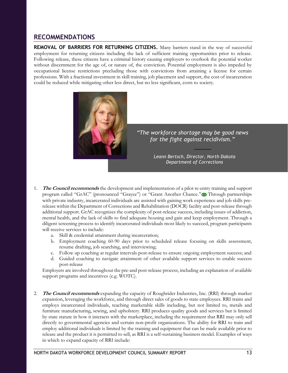#### **RECOMMENDATIONS**

**REMOVAL OF BARRIERS FOR RETURNING CITIZENS.** Many barriers stand in the way of successful employment for returning citizens including the lack of sufficient training opportunities prior to release. Following release, these citizens have a criminal history causing employers to overlook the potential worker without discernment for the age of, or nature of, the conviction. Potential employment is also impeded by occupational license restrictions precluding those with convictions from attaining a license for certain professions. With a fractional investment in skill training, job placement and support, the cost of incarceration could be reduced while mitigating other less direct, but no less significant, costs to society.



*"The workforce shortage may be good news for the fight against recidivism."*

> ┈ *Leann Bertsch, Director, North Dakota Department of Corrections*

- 1. **The Council recommends** the development and implementation of a pilot re-entry training and support program called "GrAC" (pronounced "Grayce") or "Grant Another Chance." Through partnerships with private industry, incarcerated individuals are assisted with gaining work experience and job skills prerelease within the Department of Corrections and Rehabilitation (DOCR) facility and post-release through additional support. GrAC recognizes the complexity of post-release success, including issues of addiction, mental health, and the lack of skills to find adequate housing and gain and keep employment. Through a diligent screening process to identify incarcerated individuals most likely to succeed, program participants will receive services to include:
	- a. Skill & credential attainment during incarceration;
	- b. Employment coaching 60-90 days prior to scheduled release focusing on skills assessment, resume drafting, job searching, and interviewing;
	- c. Follow up coaching at regular intervals post-release to ensure ongoing employment success; and
	- d. Guided coaching to navigate attainment of other available support services to enable success post-release

Employers are involved throughout the pre-and post-release process, including an explanation of available support programs and incentives (e.g. WOTC).

2. **The Council recommends** expanding the capacity of Roughrider Industries, Inc. (RRI) through market expansion, leveraging the workforce, and through direct sales of goods to state employees. RRI trains and employs incarcerated individuals, teaching marketable skills including, but not limited to, metals and furniture manufacturing, sewing, and upholstery. RRI produces quality goods and services but is limited by state statute in how it interacts with the marketplace, including the requirement that RRI may only sell directly to governmental agencies and certain non-profit organizations. The ability for RRI to train and employ additional individuals is limited by the training and equipment that can be made available prior to release and the product it is permitted to sell, as RRI is a self-sustaining business model. Examples of ways in which to expand capacity of RRI include: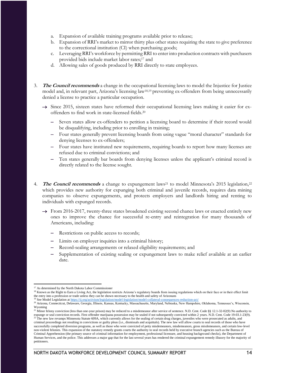- a. Expansion of available training programs available prior to release;
- b. Expansion of RRI's market to mirror thirty plus other states requiring the state to give preference to the correctional institution (CI) when purchasing goods;
- c. Leveraging RRI's workforce by permitting RRI to enter into production contracts with purchasers provided bids include market labor rates;<sup>17</sup> and
- d. Allowing sales of goods produced by RRI directly to state employees.
- 3. **The Council recommends** a change in the occupational licensing laws to model the Injustice for Justice model and, in relevant part, Arizona's licensing law18,19 preventing ex-offenders from being unnecessarily denied a license to practice a particular occupation.
	- $\rightarrow$  Since 2015, sixteen states have reformed their occupational licensing laws making it easier for exoffenders to find work in state-licensed fields.<sup>20</sup>
		- Seven states allow ex-offenders to petition a licensing board to determine if their record would be disqualifying, including prior to enrolling in training;
		- Four states generally prevent licensing boards from using vague "moral character" standards for denying licenses to ex-offenders;
		- Four states have instituted new requirements, requiring boards to report how many licenses are refused due to criminal convictions; and
		- Ten states generally bar boards from denying licenses unless the applicant's criminal record is directly related to the license sought.
- 4. **The Council recommends** a change to expungement laws<sup>21</sup> to model Minnesota's 2015 legislation,<sup>22</sup> which provides new authority for expunging both criminal and juvenile records, requires data mining companies to observe expungements, and protects employers and landlords hiring and renting to individuals with expunged records.
	- $\rightarrow$  From 2016-2017, twenty-three states broadened existing second chance laws or enacted entirely new ones to improve the chance for successful re-entry and reintegration for many thousands of Americans, including:
		- Restrictions on public access to records;
		- Limits on employer inquiries into a criminal history;
		- Record-sealing arrangements or relaxed eligibility requirements; and
		- Supplementation of existing sealing or expungement laws to make relief available at an earlier date.

 <sup>17</sup> As determined by the North Dakota Labor Commissioner

<sup>&</sup>lt;sup>18</sup> Known as th[e Right to Earn a Living Act,](http://goldwaterinstitute.org/en/work/topics/free-enterprise/regulations/sb1437-the-right-to-earn-a-living-act/) the legislation restricts Arizona's regulatory boards from issuing regulations which on their face or in their effect limit the entry into a profession or trade unless they can be shown necessary to the health and safety of Arizonans

<sup>&</sup>lt;sup>19</sup> See Model Legislation at <https://ij.org/activism/legislation/model-legislation/model-collateral-consequences-reduction-act/>

<sup>20</sup> Arizona, Connecticut, Delaware, Georgia, Illinois, Kansas, Kentucky, Massachusetts, Maryland, Nebraska, New Hampshire, Oklahoma, Tennessee's, Wisconsin, Wyoming

<sup>&</sup>lt;sup>21</sup> Minor felony conviction (less than one-year prison) may be reduced to a misdemeanor after service of sentence. N.D. Cent. Code §§ 12.1-32-02(9) No authority to expunge or seal conviction records. First offender marijuana possession may be sealed if not subsequently convicted within 2 years. N.D. Cent. Code 19-03.1-23(9).

<sup>&</sup>lt;sup>22</sup> The new law revamps Minnesota Statute 609A, which currently allows for the sealing of certain drug charges, juveniles who were prosecuted as adults, and criminal proceedings not resulting in convictions or guilty pleas (i.e., dismissals and acquittals). The new law will allow courts to seal records of those who have successfully completed diversion programs, as well as those who were convicted of petty misdemeanors, misdemeanors, gross misdemeanors, and certain low-level non-violent felonies. This expansion of the statutory remedy grants courts the authority to seal records held by executive branch agencies such as the Bureau of Criminal Apprehension (the primary source of criminal information for employment, professional licensure, and housing background checks), the Department of Human Services, and the police. This addresses a major gap that for the last several years has rendered the criminal expungement remedy illusory for the majority of petitioners.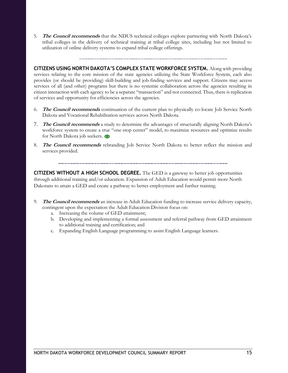5. **The Council recommends** that the NDUS technical colleges explore partnering with North Dakota's tribal colleges in the delivery of technical training at tribal college sites, including but not limited to utilization of online delivery systems to expand tribal college offerings.

**CITIZENS USING NORTH DAKOTA'S COMPLEX STATE WORKFORCE SYSTEM.** Along with providing services relating to the core mission of the state agencies utilizing the State Workforce System, each also provides (or should be providing) skill-building and job-finding services and support. Citizens may access services of all (and other) programs but there is no systemic collaboration across the agencies resulting in citizen interaction with each agency to be a separate "transaction" and not connected. Thus, there is replication of services and opportunity for efficiencies across the agencies.

- 6. **The Council recommends** continuation of the current plan to physically co-locate Job Service North Dakota and Vocational Rehabilitation services across North Dakota.
- 7. **The Council recommends** a study to determine the advantages of structurally aligning North Dakota's workforce system to create a true "one-stop center" model, to maximize resources and optimize results for North Dakota job seekers.
- 8. **The Council recommends** rebranding Job Service North Dakota to better reflect the mission and services provided.

**CITIZENS WITHOUT A HIGH SCHOOL DEGREE.** The GED is a gateway to better job opportunities through additional training and/or education. Expansion of Adult Education would permit more North Dakotans to attain a GED and create a pathway to better employment and further training.

- 9. **The Council recommends** an increase in Adult Education funding to increase service delivery capacity, contingent upon the expectation the Adult Education Division focus on:
	- a. Increasing the volume of GED attainment;
	- b. Developing and implementing a formal assessment and referral pathway from GED attainment to additional training and certification; and
	- c. Expanding English Language programming to assist English Language learners.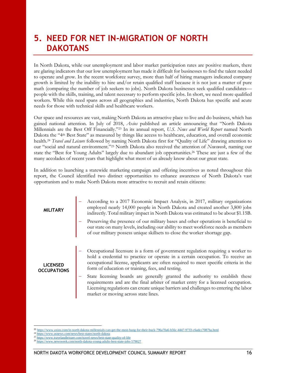### **5. NEED FOR NET IN-MIGRATION OF NORTH DAKOTANS**

In North Dakota, while our unemployment and labor market participation rates are positive markers, there are glaring indicators that our low unemployment has made it difficult for businesses to find the talent needed to operate and grow. In the recent workforce survey, more than half of hiring managers indicated company growth is limited by the inability to hire and/or retain qualified staff because it is not just a matter of pure math (comparing the number of job seekers to jobs). North Dakota businesses seek qualified candidates people with the skills, training, and talent necessary to perform specific jobs. In short, we need more qualified workers. While this need spans across all geographies and industries, North Dakota has specific and acute needs for those with technical skills and healthcare workers.

Our space and resources are vast, making North Dakota an attractive place to live and do business, which has gained national attention. In July of 2018, *[Axios](https://www.axios.com/in-north-dakota-millennials-can-get-the-most-bang-for-their-buck-796a70a6-b56c-4447-9733-c6adcc7087ba.html)* published an article announcing that "North Dakota Millennials are the Best Off Financially."<sup>23</sup> In its annual report, *[U.S. News and World Report](https://www.usnews.com/news/best-states/north-dakota)* named North Dakota the "4th Best State" as measured by things like access to healthcare, education, and overall economic health.<sup>24</sup> *[Travel and Leisure](https://www.travelandleisure.com/travel-news/best-state-quality-of-life)* followed by naming North Dakota first for "Quality of Life" drawing attention to our "social and natural environment."<sup>25</sup> North Dakota also received the attention of *[Newsweek](http://www.newsweek.com/north-dakota-young-adults-best-state-jobs-579027)*, naming our state the "Best for Young Adults" largely due to abundant job opportunities.<sup>26</sup> These are just a few of the many accolades of recent years that highlight what most of us already know about our great state.

In addition to launching a statewide marketing campaign and offering incentives as noted throughout this report, the Council identified two distinct opportunities to enhance awareness of North Dakota's vast opportunism and to make North Dakota more attractive to recruit and retain citizens:

| <b>MILITARY</b>                       | According to a 2017 Economic Impact Analysis, in 2017, military organizations<br>employed nearly 14,000 people in North Dakota and created another 3,800 jobs<br>indirectly. Total military impact in North Dakota was estimated to be about \$1.15B.                                                           |  |
|---------------------------------------|-----------------------------------------------------------------------------------------------------------------------------------------------------------------------------------------------------------------------------------------------------------------------------------------------------------------|--|
|                                       | Preserving the presence of our military bases and other operations is beneficial to<br>our state on many levels, including our ability to meet workforce needs as members<br>of our military possess unique skillsets to close the worker shortage gap.                                                         |  |
| <b>LICENSED</b><br><b>OCCUPATIONS</b> | Occupational licensure is a form of government regulation requiring a worker to<br>hold a credential to practice or operate in a certain occupation. To receive an<br>occupational license, applicants are often required to meet specific criteria in the<br>form of education or training, fees, and testing. |  |
|                                       | State licensing boards are generally granted the authority to establish these<br>requirements and are the final arbiter of market entry for a licensed occupation.<br>Licensing regulations can create unique barriers and challenges to entering the labor<br>market or moving across state lines.             |  |

 <sup>23</sup> <https://www.axios.com/in-north-dakota-millennials-can-get-the-most-bang-for-their-buck-796a70a6-b56c-4447-9733-c6adcc7087ba.html>

<sup>24</sup> <https://www.usnews.com/news/best-states/north-dakota>

<sup>25</sup> <https://www.travelandleisure.com/travel-news/best-state-quality-of-life>

<sup>26</sup> <https://www.newsweek.com/north-dakota-young-adults-best-state-jobs-579027>

NORTH DAKOTA WORKFORCE DEVELOPMENT COUNCIL SUMMARY REPORT THE STATE RESEALS TO A 16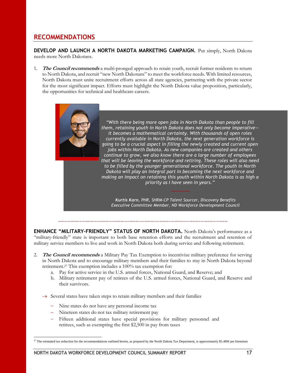### **RECOMMENDATIONS**

**DEVELOP AND LAUNCH A NORTH DAKOTA MARKETING CAMPAIGN.** Put simply, North Dakota needs more North Dakotans.

The Council recommends a multi-pronged approach to retain youth, recruit former residents to return to North Dakota, and recruit "new North Dakotans" to meet the workforce needs. With limited resources, North Dakota must unite recruitment efforts across all state agencies, partnering with the private sector for the most significant impact. Efforts must highlight the North Dakota value proposition, particularly, the opportunities for technical and healthcare careers.



#### 

**ENHANCE "MILITARY-FRIENDLY" STATUS OF NORTH DAKOTA.** North Dakota's performance as a "military-friendly" state is important to both base retention efforts and the recruitment and retention of military service members to live and work in North Dakota both during service and following retirement.

- **The Council recommends** a Military Pay Tax Exemption to incentivize military preference for serving in North Dakota and to encourage military members and their families to stay in North Dakota beyond retirement.<sup>27</sup> This exemption includes a 100% tax exemption for:
	- a. Pay for active service in the U.S. armed forces, National Guard, and Reserve; and
	- b. Military retirement pay of retirees of the U.S. armed forces, National Guard, and Reserve and their survivors.
	- $\rightarrow$  Several states have taken steps to retain military members and their families
		- Nine states do not have any personal income tax
		- Nineteen states do not tax military retirement pay
		- Fifteen additional states have special provisions for military personnel and retirees, such as exempting the first \$2,500 in pay from taxes

 $\overline{a}$  $^{27}$  The estimated tax reduction for the recommendations outlined herein, as prepared by the North Dakota Tax Department, is approximately \$5.48M per biennium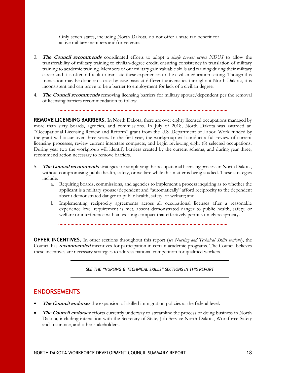- Only seven states, including North Dakota, do not offer a state tax benefit for active military members and/or veterans
- 3. **The Council recommends** coordinated efforts to adopt a *single process across NDUS* to allow the transferability of military training to civilian-degree credit, ensuring consistency in translation of military training to academic training. Members of our military gain valuable skills and training during their military career and it is often difficult to translate these experiences to the civilian education setting. Though this translation may be done on a case-by-case basis at different universities throughout North Dakota, it is inconsistent and can prove to be a barrier to employment for lack of a civilian degree.
- 4. **The Council recommends** removing licensing barriers for military spouse/dependent per the removal of licensing barriers recommendation to follow.

**REMOVE LICENSING BARRIERS.** In North Dakota, there are over eighty licensed occupations managed by more than sixty boards, agencies, and commissions. In July of 2018, North Dakota was awarded an "Occupational Licensing Review and Reform" grant from the U.S. Department of Labor. Work funded by the grant will occur over three years. In the first year, the workgroup will conduct a full review of current licensing processes, review current interstate compacts, and begin reviewing eight (8) selected occupations. During year two the workgroup will identify barriers created by the current schema, and during year three, recommend action necessary to remove barriers.

- 5. **The Council recommends** strategies for simplifying the occupational licensing process in North Dakota, without compromising public health, safety, or welfare while this matter is being studied. These strategies include:
	- a. Requiring boards, commissions, and agencies to implement a process inquiring as to whether the applicant is a military spouse/dependent and "automatically" afford reciprocity to the dependent absent demonstrated danger to public health, safety, or welfare; and
	- b. Implementing reciprocity agreements across all occupational licenses after a reasonable experience level requirement is met, absent demonstrated danger to public health, safety, or welfare or interference with an existing compact that effectively permits timely reciprocity.

**OFFER INCENTIVES.** In other sections throughout this report (*see Nursing and Technical Skills sections*), the Council has **recommended** incentives for participation in certain academic programs. The Council believes these incentives are necessary strategies to address national competition for qualified workers.

#### *SEE THE "NURSING & TECHNICAL SKILLS" SECTIONS IN THIS REPORT*

#### **ENDORSEMENTS**

- **The Council endorses** the expansion of skilled immigration policies at the federal level.
- **The Council endorses** efforts currently underway to streamline the process of doing business in North Dakota, including interaction with the Secretary of State, Job Service North Dakota, Workforce Safety and Insurance, and other stakeholders.